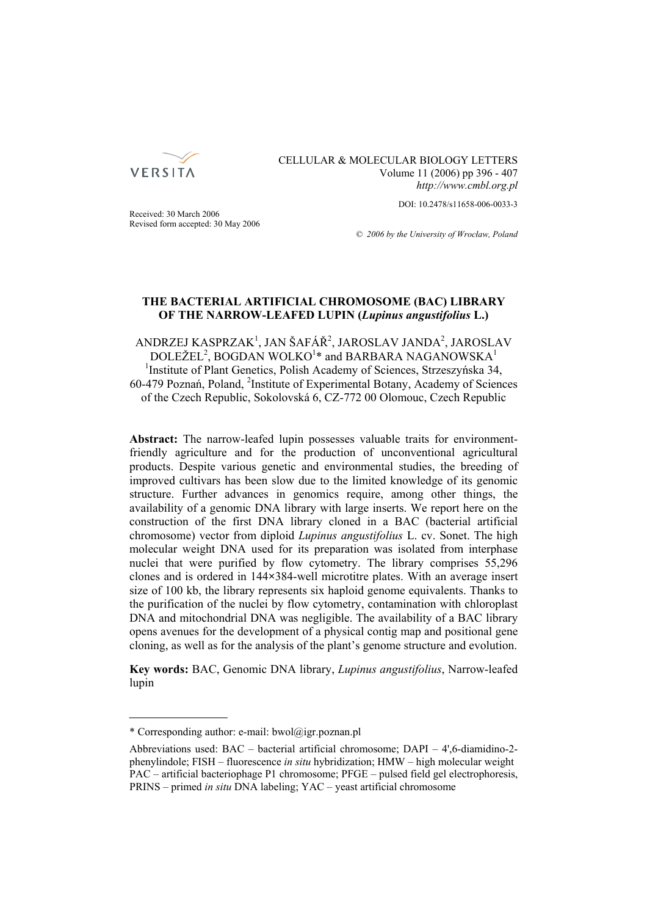

CELLULAR & MOLECULAR BIOLOGY LETTERS Volume 11 (2006) pp 396 - 407 *http://www.cmbl.org.pl*

DOI: 10.2478/s11658-006-0033-3

Received: 30 March 2006 Revised form accepted: 30 May 2006

*© 2006 by the University of Wrocław, Poland*

# **THE BACTERIAL ARTIFICIAL CHROMOSOME (BAC) LIBRARY OF THE NARROW-LEAFED LUPIN (***Lupinus angustifolius* **L.)**

ANDRZEJ KASPRZAK<sup>1</sup>, JAN ŠAFÁŘ<sup>2</sup>, JAROSLAV JANDA<sup>2</sup>, JAROSLAV  $\rm DOLE\check{Z}EL^{2}, \rm BOGDAN \ WOLKO^{1*}$  and  $\rm BARBARA \ NAGANOWSKA^{1*}$ <sup>1</sup>Institute of Plant Genetics, Polish Academy of Sciences, Strzeszyńska 34, 60-479 Poznań, Poland, <sup>2</sup> Institute of Experimental Botany, Academy of Sciences of the Czech Republic, Sokolovská 6, CZ-772 00 Olomouc, Czech Republic

**Abstract:** The narrow-leafed lupin possesses valuable traits for environmentfriendly agriculture and for the production of unconventional agricultural products. Despite various genetic and environmental studies, the breeding of improved cultivars has been slow due to the limited knowledge of its genomic structure. Further advances in genomics require, among other things, the availability of a genomic DNA library with large inserts. We report here on the construction of the first DNA library cloned in a BAC (bacterial artificial chromosome) vector from diploid *Lupinus angustifolius* L. cv. Sonet. The high molecular weight DNA used for its preparation was isolated from interphase nuclei that were purified by flow cytometry. The library comprises 55,296 clones and is ordered in 144**×**384-well microtitre plates. With an average insert size of 100 kb, the library represents six haploid genome equivalents. Thanks to the purification of the nuclei by flow cytometry, contamination with chloroplast DNA and mitochondrial DNA was negligible. The availability of a BAC library opens avenues for the development of a physical contig map and positional gene cloning, as well as for the analysis of the plant's genome structure and evolution.

**Key words:** BAC, Genomic DNA library, *Lupinus angustifolius*, Narrow-leafed lupin

<sup>\*</sup> Corresponding author: e-mail: bwol@igr.poznan.pl

Abbreviations used: BAC – bacterial artificial chromosome; DAPI – 4',6-diamidino-2 phenylindole; FISH – fluorescence *in situ* hybridization; HMW – high molecular weight PAC – artificial bacteriophage P1 chromosome; PFGE – pulsed field gel electrophoresis, PRINS – primed *in situ* DNA labeling; YAC – yeast artificial chromosome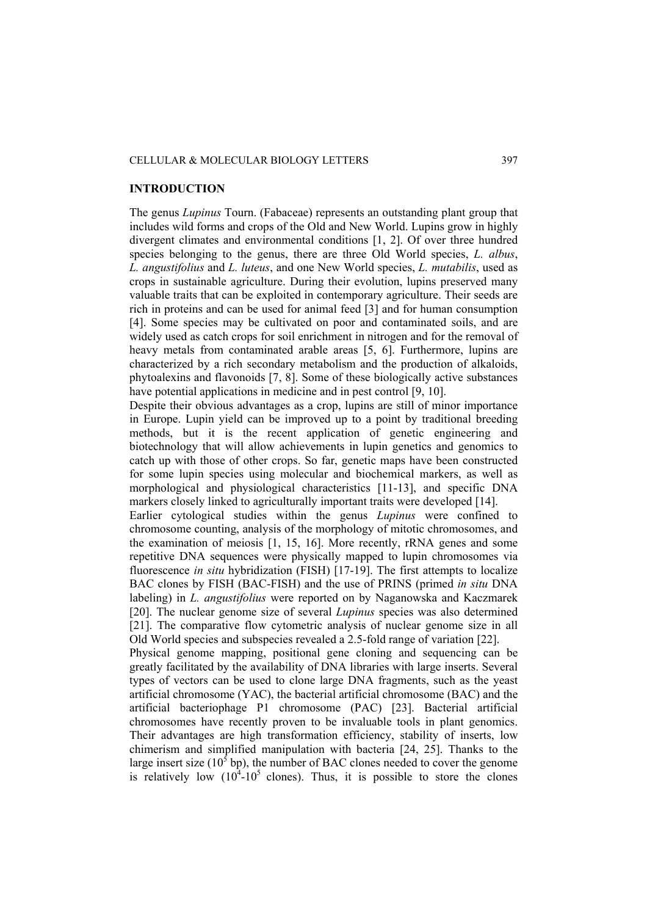## CELLULAR & MOLECULAR BIOLOGY LETTERS 397

## **INTRODUCTION**

The genus *Lupinus* Tourn. (Fabaceae) represents an outstanding plant group that includes wild forms and crops of the Old and New World. Lupins grow in highly divergent climates and environmental conditions [1, 2]. Of over three hundred species belonging to the genus, there are three Old World species, *L. albus*, *L. angustifolius* and *L. luteus*, and one New World species, *L. mutabilis*, used as crops in sustainable agriculture. During their evolution, lupins preserved many valuable traits that can be exploited in contemporary agriculture. Their seeds are rich in proteins and can be used for animal feed [3] and for human consumption [4]. Some species may be cultivated on poor and contaminated soils, and are widely used as catch crops for soil enrichment in nitrogen and for the removal of heavy metals from contaminated arable areas [5, 6]. Furthermore, lupins are characterized by a rich secondary metabolism and the production of alkaloids, phytoalexins and flavonoids [7, 8]. Some of these biologically active substances have potential applications in medicine and in pest control [9, 10].

Despite their obvious advantages as a crop, lupins are still of minor importance in Europe. Lupin yield can be improved up to a point by traditional breeding methods, but it is the recent application of genetic engineering and biotechnology that will allow achievements in lupin genetics and genomics to catch up with those of other crops. So far, genetic maps have been constructed for some lupin species using molecular and biochemical markers, as well as morphological and physiological characteristics [11-13], and specific DNA markers closely linked to agriculturally important traits were developed [14].

Earlier cytological studies within the genus *Lupinus* were confined to chromosome counting, analysis of the morphology of mitotic chromosomes, and the examination of meiosis [1, 15, 16]. More recently, rRNA genes and some repetitive DNA sequences were physically mapped to lupin chromosomes via fluorescence *in situ* hybridization (FISH) [17-19]. The first attempts to localize BAC clones by FISH (BAC-FISH) and the use of PRINS (primed *in situ* DNA labeling) in *L. angustifolius* were reported on by Naganowska and Kaczmarek [20]. The nuclear genome size of several *Lupinus* species was also determined [21]. The comparative flow cytometric analysis of nuclear genome size in all Old World species and subspecies revealed a 2.5-fold range of variation [22].

Physical genome mapping, positional gene cloning and sequencing can be greatly facilitated by the availability of DNA libraries with large inserts. Several types of vectors can be used to clone large DNA fragments, such as the yeast artificial chromosome (YAC), the bacterial artificial chromosome (BAC) and the artificial bacteriophage P1 chromosome (PAC) [23]. Bacterial artificial chromosomes have recently proven to be invaluable tools in plant genomics. Their advantages are high transformation efficiency, stability of inserts, low chimerism and simplified manipulation with bacteria [24, 25]. Thanks to the large insert size ( $10^5$  bp), the number of BAC clones needed to cover the genome is relatively low  $(10^4 \text{--} 10^5 \text{ clones})$ . Thus, it is possible to store the clones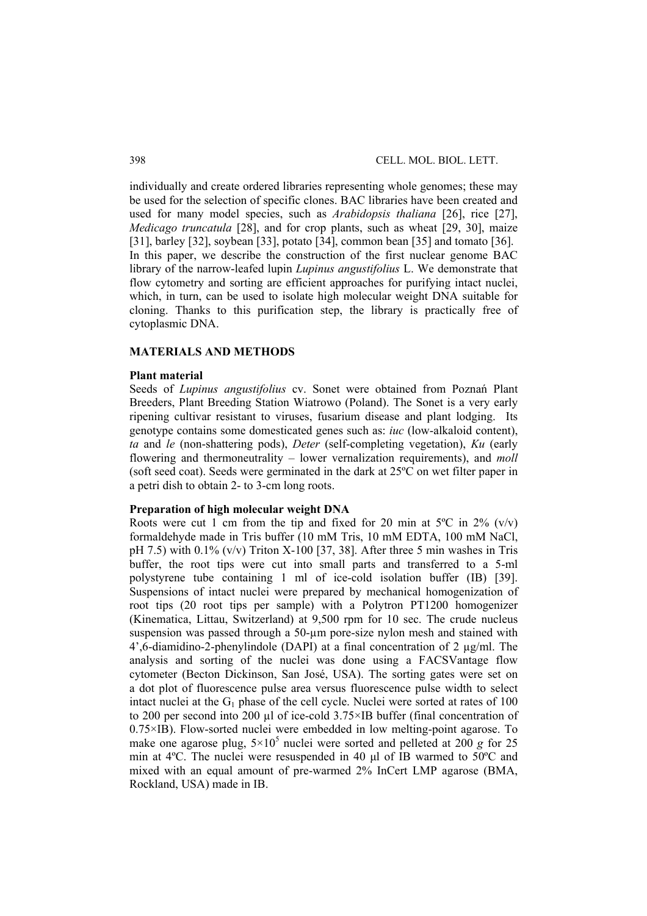individually and create ordered libraries representing whole genomes; these may be used for the selection of specific clones. BAC libraries have been created and used for many model species, such as *Arabidopsis thaliana* [26], rice [27], *Medicago truncatula* [28], and for crop plants, such as wheat [29, 30], maize [31], barley [32], soybean [33], potato [34], common bean [35] and tomato [36]. In this paper, we describe the construction of the first nuclear genome BAC library of the narrow-leafed lupin *Lupinus angustifolius* L. We demonstrate that flow cytometry and sorting are efficient approaches for purifying intact nuclei. which, in turn, can be used to isolate high molecular weight DNA suitable for cloning. Thanks to this purification step, the library is practically free of cytoplasmic DNA.

## **MATERIALS AND METHODS**

### **Plant material**

Seeds of *Lupinus angustifolius* cv. Sonet were obtained from Poznań Plant Breeders, Plant Breeding Station Wiatrowo (Poland). The Sonet is a very early ripening cultivar resistant to viruses, fusarium disease and plant lodging. Its genotype contains some domesticated genes such as: *iuc* (low-alkaloid content), *ta* and *le* (non-shattering pods), *Deter* (self-completing vegetation), *Ku* (early flowering and thermoneutrality – lower vernalization requirements), and *moll* (soft seed coat). Seeds were germinated in the dark at 25ºC on wet filter paper in a petri dish to obtain 2- to 3-cm long roots.

## **Preparation of high molecular weight DNA**

Roots were cut 1 cm from the tip and fixed for 20 min at  $5^{\circ}$ C in  $2\%$  (v/v) formaldehyde made in Tris buffer (10 mM Tris, 10 mM EDTA, 100 mM NaCl, pH 7.5) with  $0.1\%$  (v/v) Triton X-100 [37, 38]. After three 5 min washes in Tris buffer, the root tips were cut into small parts and transferred to a 5-ml polystyrene tube containing 1 ml of ice-cold isolation buffer (IB) [39]. Suspensions of intact nuclei were prepared by mechanical homogenization of root tips (20 root tips per sample) with a Polytron PT1200 homogenizer (Kinematica, Littau, Switzerland) at 9,500 rpm for 10 sec. The crude nucleus suspension was passed through a 50-um pore-size nylon mesh and stained with 4',6-diamidino-2-phenylindole (DAPI) at a final concentration of 2 µg/ml. The analysis and sorting of the nuclei was done using a FACSVantage flow cytometer (Becton Dickinson, San José, USA). The sorting gates were set on a dot plot of fluorescence pulse area versus fluorescence pulse width to select intact nuclei at the  $G_1$  phase of the cell cycle. Nuclei were sorted at rates of 100 to 200 per second into 200 µl of ice-cold 3.75×IB buffer (final concentration of  $0.75 \times$ IB). Flow-sorted nuclei were embedded in low melting-point agarose. To make one agarose plug,  $5 \times 10^5$  nuclei were sorted and pelleted at 200 *g* for 25 min at 4ºC. The nuclei were resuspended in 40 μl of IB warmed to 50ºC and mixed with an equal amount of pre-warmed 2% InCert LMP agarose (BMA, Rockland, USA) made in IB.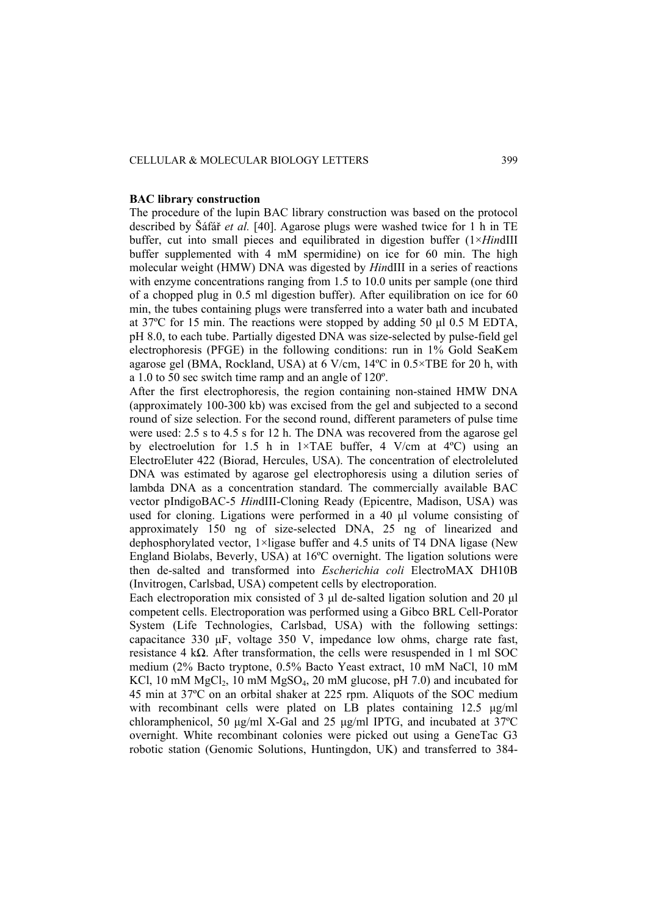#### **BAC library construction**

The procedure of the lupin BAC library construction was based on the protocol described by Šáfář *et al.* [40]. Agarose plugs were washed twice for 1 h in TE buffer, cut into small pieces and equilibrated in digestion buffer (1×*Hin*dIII buffer supplemented with 4 mM spermidine) on ice for 60 min. The high molecular weight (HMW) DNA was digested by *Hin*dIII in a series of reactions with enzyme concentrations ranging from 1.5 to 10.0 units per sample (one third of a chopped plug in 0.5 ml digestion buffer). After equilibration on ice for 60 min, the tubes containing plugs were transferred into a water bath and incubated at 37ºC for 15 min. The reactions were stopped by adding 50 μl 0.5 M EDTA, pH 8.0, to each tube. Partially digested DNA was size-selected by pulse-field gel electrophoresis (PFGE) in the following conditions: run in 1% Gold SeaKem agarose gel (BMA, Rockland, USA) at  $6$  V/cm,  $14^{\circ}$ C in  $0.5 \times$ TBE for 20 h, with a 1.0 to 50 sec switch time ramp and an angle of 120º.

After the first electrophoresis, the region containing non-stained HMW DNA (approximately 100-300 kb) was excised from the gel and subjected to a second round of size selection. For the second round, different parameters of pulse time were used: 2.5 s to 4.5 s for 12 h. The DNA was recovered from the agarose gel by electroelution for 1.5 h in 1×TAE buffer, 4 V/cm at 4ºC) using an ElectroEluter 422 (Biorad, Hercules, USA). The concentration of electroleluted DNA was estimated by agarose gel electrophoresis using a dilution series of lambda DNA as a concentration standard. The commercially available BAC vector pIndigoBAC-5 *Hin*dIII-Cloning Ready (Epicentre, Madison, USA) was used for cloning. Ligations were performed in a 40 μl volume consisting of approximately 150 ng of size-selected DNA, 25 ng of linearized and dephosphorylated vector, 1×ligase buffer and 4.5 units of T4 DNA ligase (New England Biolabs, Beverly, USA) at 16ºC overnight. The ligation solutions were then de-salted and transformed into *Escherichia coli* ElectroMAX DH10B (Invitrogen, Carlsbad, USA) competent cells by electroporation.

Each electroporation mix consisted of 3 μl de-salted ligation solution and 20 μl competent cells. Electroporation was performed using a Gibco BRL Cell-Porator System (Life Technologies, Carlsbad, USA) with the following settings: capacitance 330 μF, voltage 350 V, impedance low ohms, charge rate fast, resistance 4 k $\Omega$ . After transformation, the cells were resuspended in 1 ml SOC medium (2% Bacto tryptone, 0.5% Bacto Yeast extract, 10 mM NaCl, 10 mM KCl, 10 mM  $MgCl<sub>2</sub>$ , 10 mM  $MgSO<sub>4</sub>$ , 20 mM glucose, pH 7.0) and incubated for 45 min at 37ºC on an orbital shaker at 225 rpm. Aliquots of the SOC medium with recombinant cells were plated on LB plates containing 12.5 μg/ml chloramphenicol, 50 μg/ml X-Gal and 25 μg/ml IPTG, and incubated at 37ºC overnight. White recombinant colonies were picked out using a GeneTac G3 robotic station (Genomic Solutions, Huntingdon, UK) and transferred to 384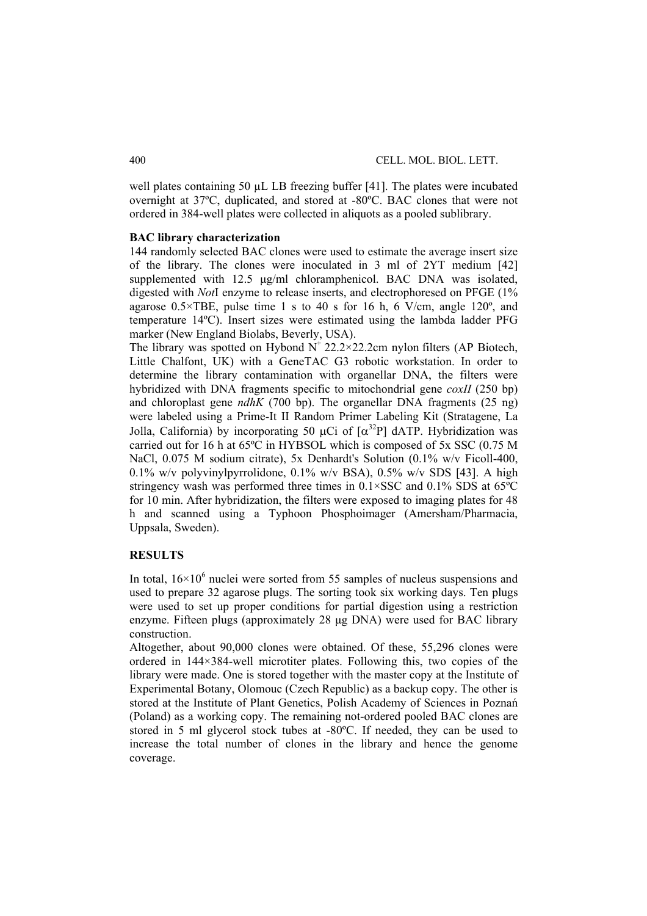well plates containing 50 uL LB freezing buffer [41]. The plates were incubated overnight at 37ºC, duplicated, and stored at -80ºC. BAC clones that were not ordered in 384-well plates were collected in aliquots as a pooled sublibrary.

# **BAC library characterization**

144 randomly selected BAC clones were used to estimate the average insert size of the library. The clones were inoculated in 3 ml of 2YT medium [42] supplemented with 12.5 μg/ml chloramphenicol. BAC DNA was isolated, digested with *Not*I enzyme to release inserts, and electrophoresed on PFGE (1% agarose  $0.5 \times \text{TBE}$ , pulse time 1 s to 40 s for 16 h, 6 V/cm, angle 120°, and temperature 14ºC). Insert sizes were estimated using the lambda ladder PFG marker (New England Biolabs, Beverly, USA).

The library was spotted on Hybond  $N^+ 22.2 \times 22.2$ cm nylon filters (AP Biotech, Little Chalfont, UK) with a GeneTAC G3 robotic workstation. In order to determine the library contamination with organellar DNA, the filters were hybridized with DNA fragments specific to mitochondrial gene *coxII* (250 bp) and chloroplast gene *ndhK* (700 bp). The organellar DNA fragments (25 ng) were labeled using a Prime-It II Random Primer Labeling Kit (Stratagene, La Jolla, California) by incorporating 50 μCi of  $\alpha^{32}P$ ] dATP. Hybridization was carried out for 16 h at 65ºC in HYBSOL which is composed of 5x SSC (0.75 M NaCl, 0.075 M sodium citrate), 5x Denhardt's Solution (0.1% w/v Ficoll-400, 0.1% w/v polyvinylpyrrolidone, 0.1% w/v BSA), 0.5% w/v SDS [43]. A high stringency wash was performed three times in  $0.1 \times SSC$  and  $0.1\%$  SDS at 65 $°C$ for 10 min. After hybridization, the filters were exposed to imaging plates for 48 h and scanned using a Typhoon Phosphoimager (Amersham/Pharmacia, Uppsala, Sweden).

# **RESULTS**

In total,  $16\times10^6$  nuclei were sorted from 55 samples of nucleus suspensions and used to prepare 32 agarose plugs. The sorting took six working days. Ten plugs were used to set up proper conditions for partial digestion using a restriction enzyme. Fifteen plugs (approximately 28 μg DNA) were used for BAC library construction.

Altogether, about 90,000 clones were obtained. Of these, 55,296 clones were ordered in 144×384-well microtiter plates. Following this, two copies of the library were made. One is stored together with the master copy at the Institute of Experimental Botany, Olomouc (Czech Republic) as a backup copy. The other is stored at the Institute of Plant Genetics, Polish Academy of Sciences in Poznań (Poland) as a working copy. The remaining not-ordered pooled BAC clones are stored in 5 ml glycerol stock tubes at -80ºC. If needed, they can be used to increase the total number of clones in the library and hence the genome coverage.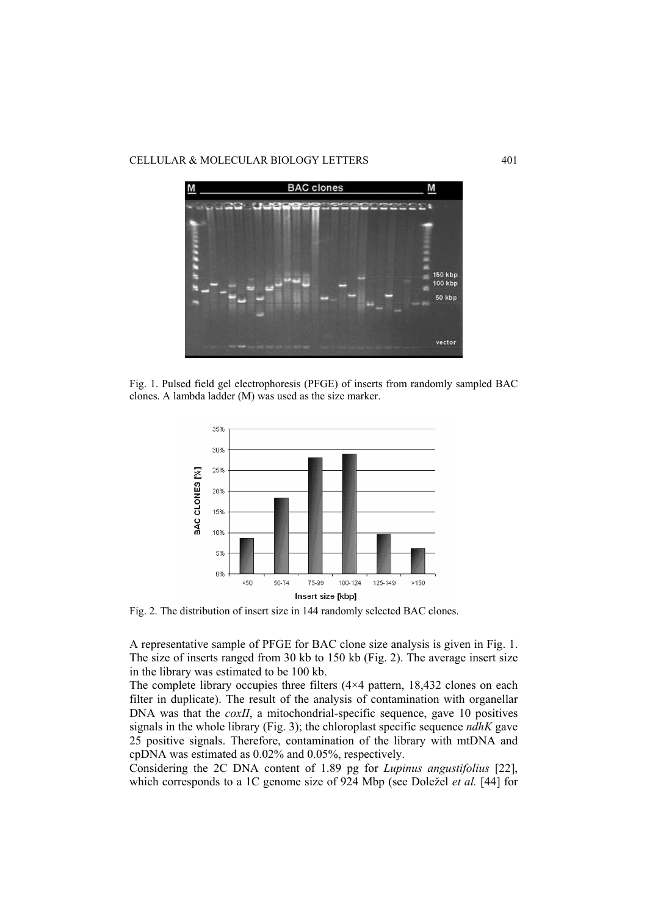

Fig. 1. Pulsed field gel electrophoresis (PFGE) of inserts from randomly sampled BAC clones. A lambda ladder (M) was used as the size marker.



Fig. 2. The distribution of insert size in 144 randomly selected BAC clones.

A representative sample of PFGE for BAC clone size analysis is given in Fig. 1. The size of inserts ranged from 30 kb to 150 kb (Fig. 2). The average insert size in the library was estimated to be 100 kb.

The complete library occupies three filters (4×4 pattern, 18,432 clones on each filter in duplicate). The result of the analysis of contamination with organellar DNA was that the *coxII*, a mitochondrial-specific sequence, gave 10 positives signals in the whole library (Fig. 3); the chloroplast specific sequence *ndhK* gave 25 positive signals. Therefore, contamination of the library with mtDNA and cpDNA was estimated as 0.02% and 0.05%, respectively.

Considering the 2C DNA content of 1.89 pg for *Lupinus angustifolius* [22], which corresponds to a 1C genome size of 924 Mbp (see Doležel *et al.* [44] for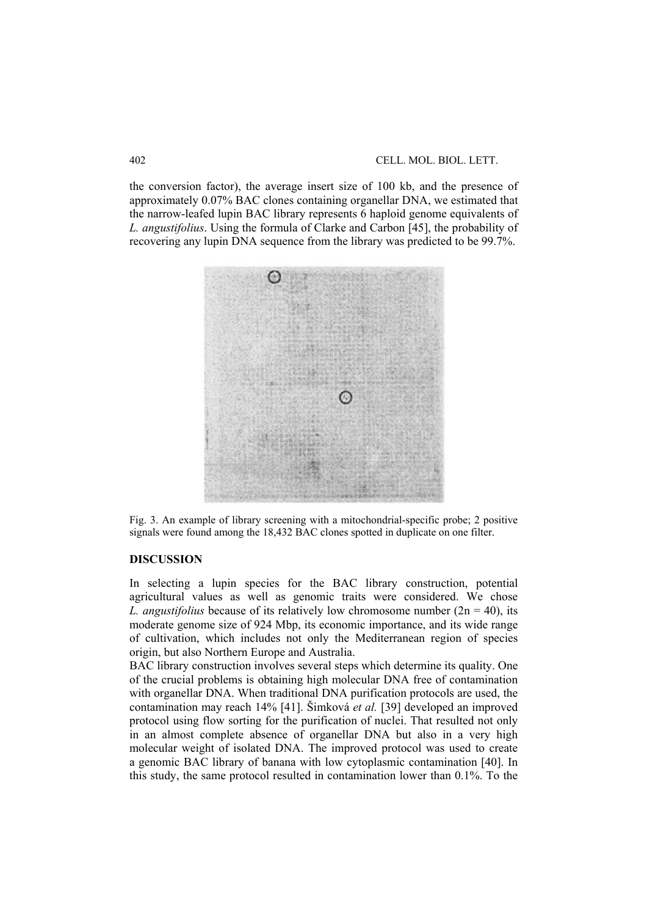the conversion factor), the average insert size of 100 kb, and the presence of approximately 0.07% BAC clones containing organellar DNA, we estimated that the narrow-leafed lupin BAC library represents 6 haploid genome equivalents of *L. angustifolius*. Using the formula of Clarke and Carbon [45], the probability of recovering any lupin DNA sequence from the library was predicted to be 99.7%.



Fig. 3. An example of library screening with a mitochondrial-specific probe; 2 positive signals were found among the 18,432 BAC clones spotted in duplicate on one filter.

# **DISCUSSION**

In selecting a lupin species for the BAC library construction, potential agricultural values as well as genomic traits were considered. We chose *L. angustifolius* because of its relatively low chromosome number  $(2n = 40)$ , its moderate genome size of 924 Mbp, its economic importance, and its wide range of cultivation, which includes not only the Mediterranean region of species origin, but also Northern Europe and Australia.

BAC library construction involves several steps which determine its quality. One of the crucial problems is obtaining high molecular DNA free of contamination with organellar DNA. When traditional DNA purification protocols are used, the contamination may reach 14% [41]. Šimková *et al.* [39] developed an improved protocol using flow sorting for the purification of nuclei. That resulted not only in an almost complete absence of organellar DNA but also in a very high molecular weight of isolated DNA. The improved protocol was used to create a genomic BAC library of banana with low cytoplasmic contamination [40]. In this study, the same protocol resulted in contamination lower than 0.1%. To the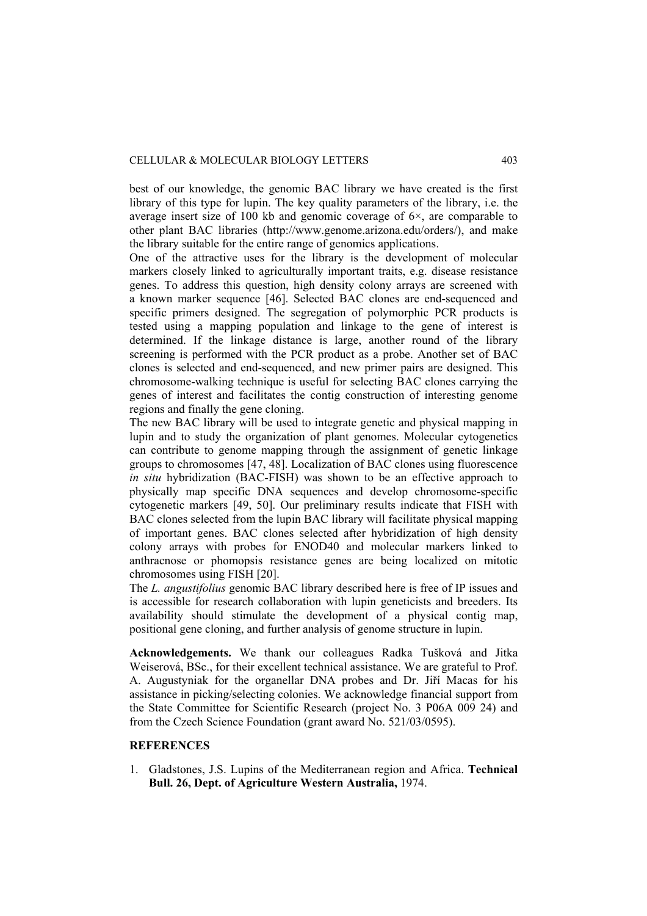best of our knowledge, the genomic BAC library we have created is the first library of this type for lupin. The key quality parameters of the library, i.e. the average insert size of 100 kb and genomic coverage of  $6\times$ , are comparable to other plant BAC libraries (http://www.genome.arizona.edu/orders/), and make the library suitable for the entire range of genomics applications.

One of the attractive uses for the library is the development of molecular markers closely linked to agriculturally important traits, e.g. disease resistance genes. To address this question, high density colony arrays are screened with a known marker sequence [46]. Selected BAC clones are end-sequenced and specific primers designed. The segregation of polymorphic PCR products is tested using a mapping population and linkage to the gene of interest is determined. If the linkage distance is large, another round of the library screening is performed with the PCR product as a probe. Another set of BAC clones is selected and end-sequenced, and new primer pairs are designed. This chromosome-walking technique is useful for selecting BAC clones carrying the genes of interest and facilitates the contig construction of interesting genome regions and finally the gene cloning.

The new BAC library will be used to integrate genetic and physical mapping in lupin and to study the organization of plant genomes. Molecular cytogenetics can contribute to genome mapping through the assignment of genetic linkage groups to chromosomes [47, 48]. Localization of BAC clones using fluorescence *in situ* hybridization (BAC-FISH) was shown to be an effective approach to physically map specific DNA sequences and develop chromosome-specific cytogenetic markers [49, 50]. Our preliminary results indicate that FISH with BAC clones selected from the lupin BAC library will facilitate physical mapping of important genes. BAC clones selected after hybridization of high density colony arrays with probes for ENOD40 and molecular markers linked to anthracnose or phomopsis resistance genes are being localized on mitotic chromosomes using FISH [20].

The *L. angustifolius* genomic BAC library described here is free of IP issues and is accessible for research collaboration with lupin geneticists and breeders. Its availability should stimulate the development of a physical contig map, positional gene cloning, and further analysis of genome structure in lupin.

**Acknowledgements.** We thank our colleagues Radka Tušková and Jitka Weiserová, BSc., for their excellent technical assistance. We are grateful to Prof. A. Augustyniak for the organellar DNA probes and Dr. Jiří Macas for his assistance in picking/selecting colonies. We acknowledge financial support from the State Committee for Scientific Research (project No. 3 P06A 009 24) and from the Czech Science Foundation (grant award No. 521/03/0595).

# **REFERENCES**

1. Gladstones, J.S. Lupins of the Mediterranean region and Africa. **Technical Bull. 26, Dept. of Agriculture Western Australia,** 1974.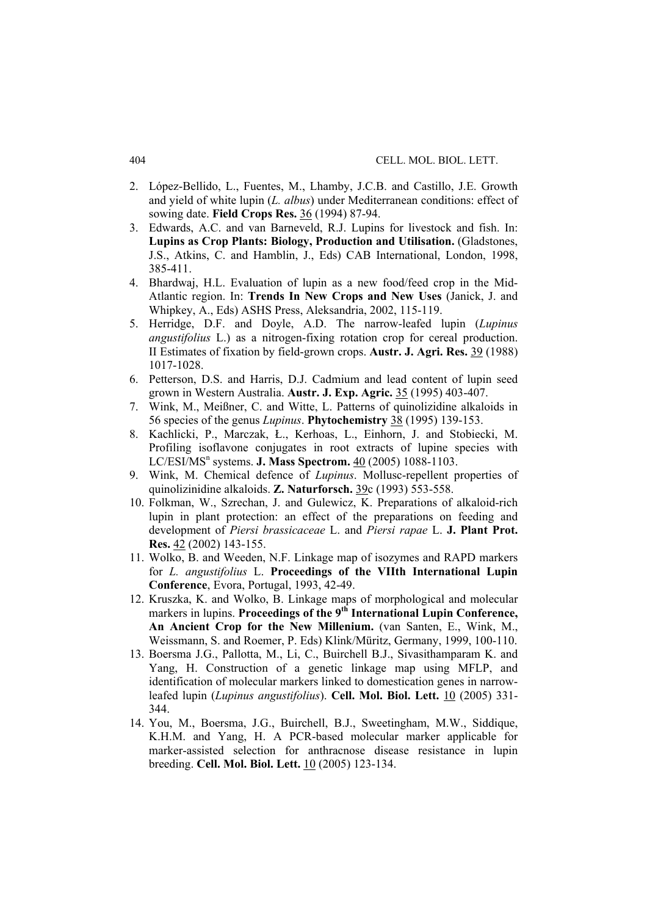- 2. López-Bellido, L., Fuentes, M., Lhamby, J.C.B. and Castillo, J.E. Growth and yield of white lupin (*L. albus*) under Mediterranean conditions: effect of sowing date. **Field Crops Res.** 36 (1994) 87-94.
- 3. Edwards, A.C. and van Barneveld, R.J. Lupins for livestock and fish. In: **Lupins as Crop Plants: Biology, Production and Utilisation.** (Gladstones, J.S., Atkins, C. and Hamblin, J., Eds) CAB International, London, 1998, 385-411.
- 4. Bhardwaj, H.L. Evaluation of lupin as a new food/feed crop in the Mid-Atlantic region. In: **Trends In New Crops and New Uses** (Janick, J. and Whipkey, A., Eds) ASHS Press, Aleksandria, 2002, 115-119.
- 5. Herridge, D.F. and Doyle, A.D. The narrow-leafed lupin (*Lupinus angustifolius* L.) as a nitrogen-fixing rotation crop for cereal production. II Estimates of fixation by field-grown crops. **Austr. J. Agri. Res.** 39 (1988) 1017-1028.
- 6. Petterson, D.S. and Harris, D.J. Cadmium and lead content of lupin seed grown in Western Australia. **Austr. J. Exp. Agric.** 35 (1995) 403-407.
- 7. Wink, M., Meißner, C. and Witte, L. Patterns of quinolizidine alkaloids in 56 species of the genus *Lupinus*. **Phytochemistry** 38 (1995) 139-153.
- 8. Kachlicki, P., Marczak, Ł., Kerhoas, L., Einhorn, J. and Stobiecki, M. Profiling isoflavone conjugates in root extracts of lupine species with LC/ESI/MS<sup>n</sup> systems. **J. Mass Spectrom.** 40 (2005) 1088-1103.
- 9. Wink, M. Chemical defence of *Lupinus*. Mollusc-repellent properties of quinolizinidine alkaloids. **Z. Naturforsch.** 39c (1993) 553-558.
- 10. Folkman, W., Szrechan, J. and Gulewicz, K. Preparations of alkaloid-rich lupin in plant protection: an effect of the preparations on feeding and development of *Piersi brassicaceae* L. and *Piersi rapae* L. **J. Plant Prot. Res.** 42 (2002) 143-155.
- 11. Wolko, B. and Weeden, N.F. Linkage map of isozymes and RAPD markers for *L. angustifolius* L. **Proceedings of the VIIth International Lupin Conference**, Evora, Portugal, 1993, 42-49.
- 12. Kruszka, K. and Wolko, B. Linkage maps of morphological and molecular markers in lupins. Proceedings of the 9<sup>th</sup> International Lupin Conference, **An Ancient Crop for the New Millenium.** (van Santen, E., Wink, M., Weissmann, S. and Roemer, P. Eds) Klink/Müritz, Germany, 1999, 100-110.
- 13. Boersma J.G., Pallotta, M., Li, C., Buirchell B.J., Sivasithamparam K. and Yang, H. Construction of a genetic linkage map using MFLP, and identification of molecular markers linked to domestication genes in narrowleafed lupin (*Lupinus angustifolius*). **Cell. Mol. Biol. Lett.** 10 (2005) 331- 344.
- 14. You, M., Boersma, J.G., Buirchell, B.J., Sweetingham, M.W., Siddique, K.H.M. and Yang, H. A PCR-based molecular marker applicable for marker-assisted selection for anthracnose disease resistance in lupin breeding. **Cell. Mol. Biol. Lett.** 10 (2005) 123-134.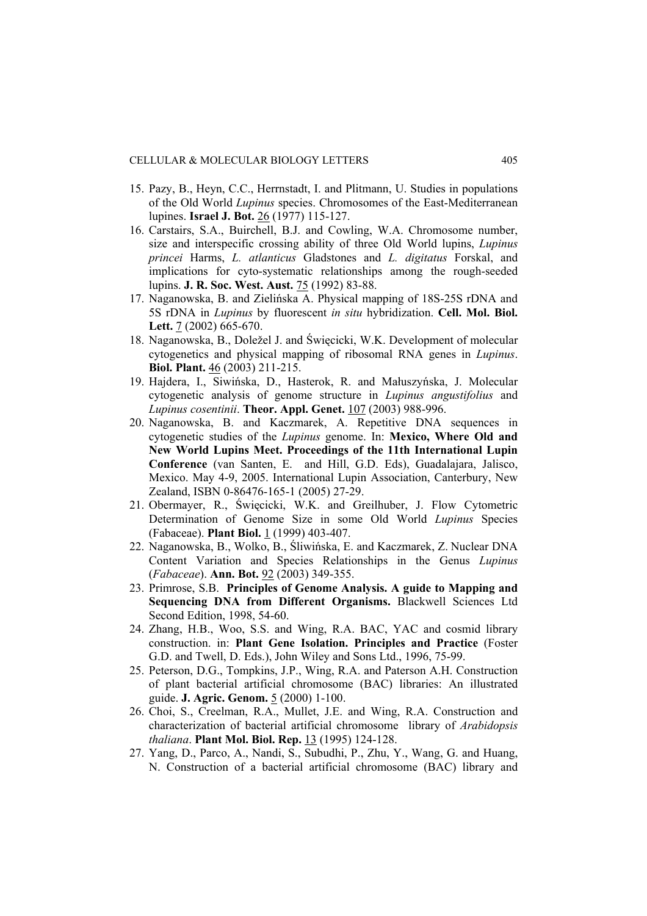- 15. Pazy, B., Heyn, C.C., Herrnstadt, I. and Plitmann, U. Studies in populations of the Old World *Lupinus* species. Chromosomes of the East-Mediterranean lupines. **Israel J. Bot.** 26 (1977) 115-127.
- 16. Carstairs, S.A., Buirchell, B.J. and Cowling, W.A. Chromosome number, size and interspecific crossing ability of three Old World lupins, *Lupinus princei* Harms, *L. atlanticus* Gladstones and *L. digitatus* Forskal, and implications for cyto-systematic relationships among the rough-seeded lupins. **J. R. Soc. West. Aust.** 75 (1992) 83-88.
- 17. Naganowska, B. and Zielińska A. Physical mapping of 18S-25S rDNA and 5S rDNA in *Lupinus* by fluorescent *in situ* hybridization. **Cell. Mol. Biol. Lett.** 7 (2002) 665-670.
- 18. Naganowska, B., Doležel J. and Święcicki, W.K. Development of molecular cytogenetics and physical mapping of ribosomal RNA genes in *Lupinus*. **Biol. Plant.** 46 (2003) 211-215.
- 19. Hajdera, I., Siwińska, D., Hasterok, R. and Małuszyńska, J. Molecular cytogenetic analysis of genome structure in *Lupinus angustifolius* and *Lupinus cosentinii*. **Theor. Appl. Genet.** 107 (2003) 988-996.
- 20. Naganowska, B. and Kaczmarek, A. Repetitive DNA sequences in cytogenetic studies of the *Lupinus* genome. In: **Mexico, Where Old and New World Lupins Meet. Proceedings of the 11th International Lupin Conference** (van Santen, E. and Hill, G.D. Eds), Guadalajara, Jalisco, Mexico. May 4-9, 2005. International Lupin Association, Canterbury, New Zealand, ISBN 0-86476-165-1 (2005) 27-29.
- 21. Obermayer, R., Święcicki, W.K. and Greilhuber, J. Flow Cytometric Determination of Genome Size in some Old World *Lupinus* Species (Fabaceae). **Plant Biol.** 1 (1999) 403-407.
- 22. Naganowska, B., Wolko, B., Śliwińska, E. and Kaczmarek, Z. Nuclear DNA Content Variation and Species Relationships in the Genus *Lupinus* (*Fabaceae*). **Ann. Bot.** 92 (2003) 349-355.
- 23. Primrose, S.B. **Principles of Genome Analysis. A guide to Mapping and Sequencing DNA from Different Organisms.** Blackwell Sciences Ltd Second Edition, 1998, 54-60.
- 24. Zhang, H.B., Woo, S.S. and Wing, R.A. BAC, YAC and cosmid library construction. in: **Plant Gene Isolation. Principles and Practice** (Foster G.D. and Twell, D. Eds.), John Wiley and Sons Ltd., 1996, 75-99.
- 25. Peterson, D.G., Tompkins, J.P., Wing, R.A. and Paterson A.H. Construction of plant bacterial artificial chromosome (BAC) libraries: An illustrated guide. **J. Agric. Genom.** 5 (2000) 1-100.
- 26. Choi, S., Creelman, R.A., Mullet, J.E. and Wing, R.A. Construction and characterization of bacterial artificial chromosome library of *Arabidopsis thaliana*. **Plant Mol. Biol. Rep.** 13 (1995) 124-128.
- 27. Yang, D., Parco, A., Nandi, S., Subudhi, P., Zhu, Y., Wang, G. and Huang, N. Construction of a bacterial artificial chromosome (BAC) library and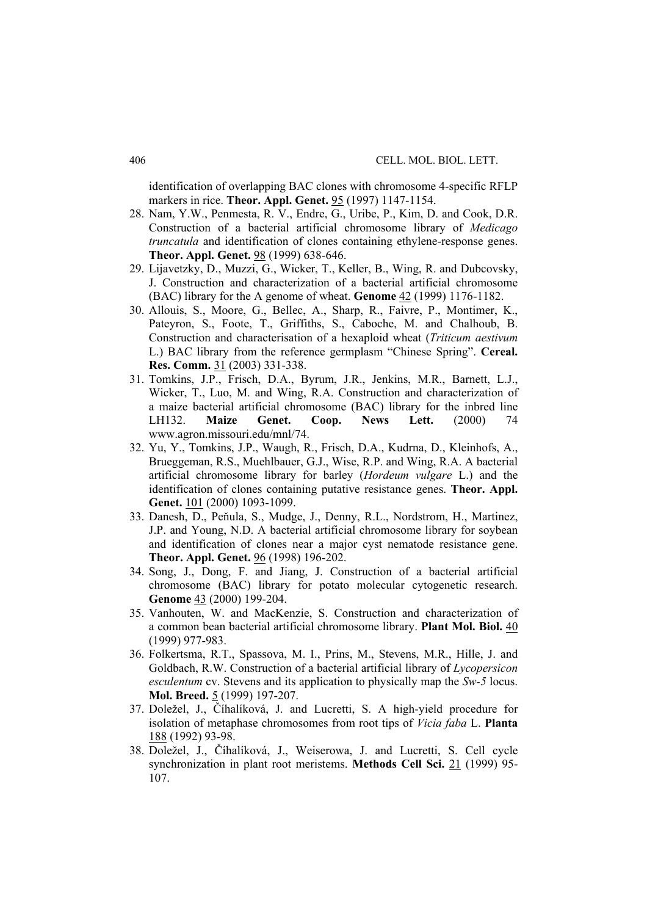identification of overlapping BAC clones with chromosome 4-specific RFLP markers in rice. **Theor. Appl. Genet.** 95 (1997) 1147-1154.

- 28. Nam, Y.W., Penmesta, R. V., Endre, G., Uribe, P., Kim, D. and Cook, D.R. Construction of a bacterial artificial chromosome library of *Medicago truncatula* and identification of clones containing ethylene-response genes. **Theor. Appl. Genet.** 98 (1999) 638-646.
- 29. Lijavetzky, D., Muzzi, G., Wicker, T., Keller, B., Wing, R. and Dubcovsky, J. Construction and characterization of a bacterial artificial chromosome (BAC) library for the A genome of wheat. **Genome** 42 (1999) 1176-1182.
- 30. Allouis, S., Moore, G., Bellec, A., Sharp, R., Faivre, P., Montimer, K., Pateyron, S., Foote, T., Griffiths, S., Caboche, M. and Chalhoub, B. Construction and characterisation of a hexaploid wheat (*Triticum aestivum*  L.) BAC library from the reference germplasm "Chinese Spring". **Cereal. Res. Comm.** 31 (2003) 331-338.
- 31. Tomkins, J.P., Frisch, D.A., Byrum, J.R., Jenkins, M.R., Barnett, L.J., Wicker, T., Luo, M. and Wing, R.A. Construction and characterization of a maize bacterial artificial chromosome (BAC) library for the inbred line LH132. **Maize Genet. Coop. News Lett.** (2000) 74 www.agron.missouri.edu/mnl/74.
- 32. Yu, Y., Tomkins, J.P., Waugh, R., Frisch, D.A., Kudrna, D., Kleinhofs, A., Brueggeman, R.S., Muehlbauer, G.J., Wise, R.P. and Wing, R.A. A bacterial artificial chromosome library for barley (*Hordeum vulgare* L.) and the identification of clones containing putative resistance genes. **Theor. Appl. Genet.** 101 (2000) 1093-1099.
- 33. Danesh, D., Peňula, S., Mudge, J., Denny, R.L., Nordstrom, H., Martinez, J.P. and Young, N.D. A bacterial artificial chromosome library for soybean and identification of clones near a major cyst nematode resistance gene. **Theor. Appl. Genet.** 96 (1998) 196-202.
- 34. Song, J., Dong, F. and Jiang, J. Construction of a bacterial artificial chromosome (BAC) library for potato molecular cytogenetic research. **Genome** 43 (2000) 199-204.
- 35. Vanhouten, W. and MacKenzie, S. Construction and characterization of a common bean bacterial artificial chromosome library. **Plant Mol. Biol.** 40 (1999) 977-983.
- 36. Folkertsma, R.T., Spassova, M. I., Prins, M., Stevens, M.R., Hille, J. and Goldbach, R.W. Construction of a bacterial artificial library of *Lycopersicon esculentum* cv. Stevens and its application to physically map the *Sw-5* locus. **Mol. Breed.** 5 (1999) 197-207.
- 37. Doležel, J., Číhalíková, J. and Lucretti, S. A high-yield procedure for isolation of metaphase chromosomes from root tips of *Vicia faba* L. **Planta** 188 (1992) 93-98.
- 38. Doležel, J., Číhalíková, J., Weiserowa, J. and Lucretti, S. Cell cycle synchronization in plant root meristems. **Methods Cell Sci.** 21 (1999) 95- 107.